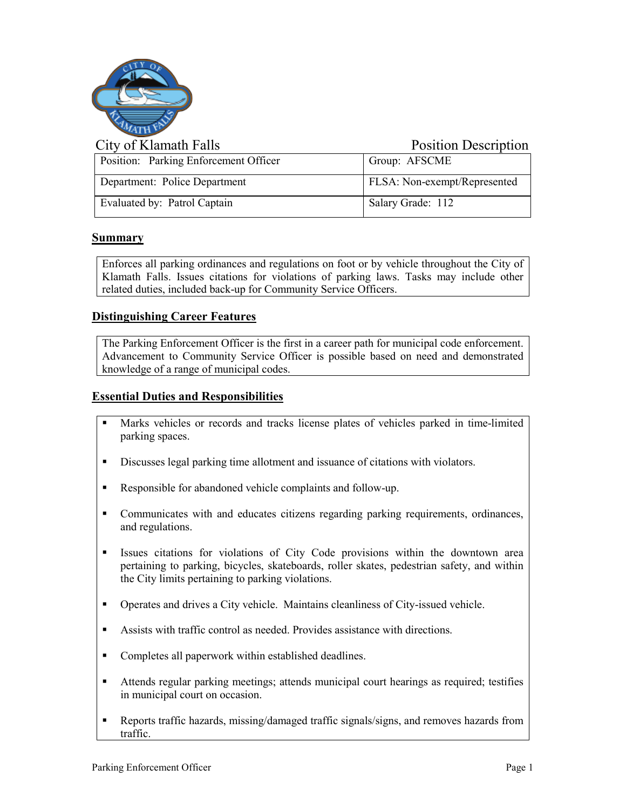

| City of Klamath Falls                 | <b>Position Description</b>  |
|---------------------------------------|------------------------------|
| Position: Parking Enforcement Officer | Group: AFSCME                |
| Department: Police Department         | FLSA: Non-exempt/Represented |
| Evaluated by: Patrol Captain          | Salary Grade: 112            |

# **Summary**

Enforces all parking ordinances and regulations on foot or by vehicle throughout the City of Klamath Falls. Issues citations for violations of parking laws. Tasks may include other related duties, included back-up for Community Service Officers.

# **Distinguishing Career Features**

The Parking Enforcement Officer is the first in a career path for municipal code enforcement. Advancement to Community Service Officer is possible based on need and demonstrated knowledge of a range of municipal codes.

# **Essential Duties and Responsibilities**

- Marks vehicles or records and tracks license plates of vehicles parked in time-limited parking spaces.
- Discusses legal parking time allotment and issuance of citations with violators.
- Responsible for abandoned vehicle complaints and follow-up.
- Communicates with and educates citizens regarding parking requirements, ordinances, and regulations.
- Issues citations for violations of City Code provisions within the downtown area pertaining to parking, bicycles, skateboards, roller skates, pedestrian safety, and within the City limits pertaining to parking violations.
- Operates and drives a City vehicle. Maintains cleanliness of City-issued vehicle.
- Assists with traffic control as needed. Provides assistance with directions.
- Completes all paperwork within established deadlines.
- Attends regular parking meetings; attends municipal court hearings as required; testifies in municipal court on occasion.
- Reports traffic hazards, missing/damaged traffic signals/signs, and removes hazards from traffic.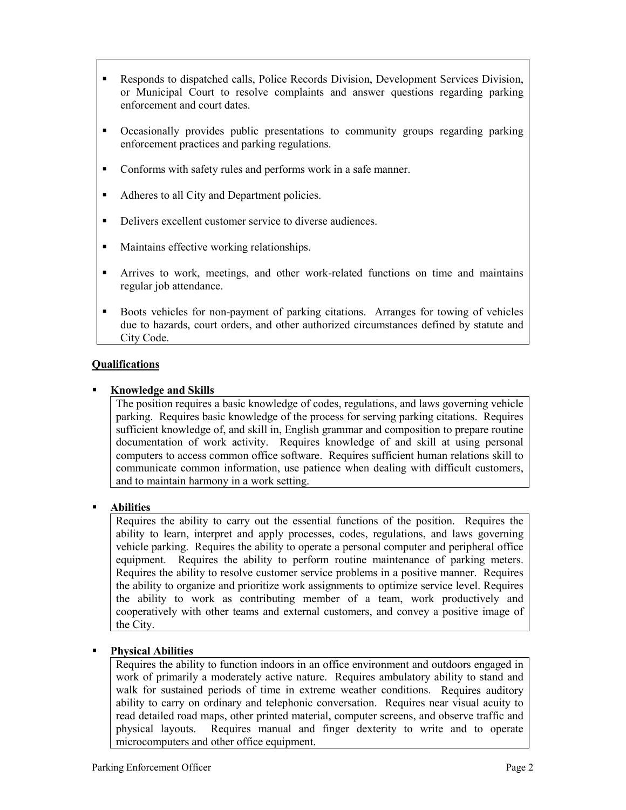- Responds to dispatched calls, Police Records Division, Development Services Division, or Municipal Court to resolve complaints and answer questions regarding parking enforcement and court dates.
- Occasionally provides public presentations to community groups regarding parking enforcement practices and parking regulations.
- Conforms with safety rules and performs work in a safe manner.
- Adheres to all City and Department policies.
- Delivers excellent customer service to diverse audiences.
- **Maintains effective working relationships.**
- Arrives to work, meetings, and other work-related functions on time and maintains regular job attendance.
- **Boots vehicles for non-payment of parking citations.** Arranges for towing of vehicles due to hazards, court orders, and other authorized circumstances defined by statute and City Code.

# **Qualifications**

#### **Knowledge and Skills**

The position requires a basic knowledge of codes, regulations, and laws governing vehicle parking. Requires basic knowledge of the process for serving parking citations. Requires sufficient knowledge of, and skill in, English grammar and composition to prepare routine documentation of work activity. Requires knowledge of and skill at using personal computers to access common office software. Requires sufficient human relations skill to communicate common information, use patience when dealing with difficult customers, and to maintain harmony in a work setting.

#### **Abilities**

Requires the ability to carry out the essential functions of the position. Requires the ability to learn, interpret and apply processes, codes, regulations, and laws governing vehicle parking. Requires the ability to operate a personal computer and peripheral office equipment. Requires the ability to perform routine maintenance of parking meters. Requires the ability to resolve customer service problems in a positive manner. Requires the ability to organize and prioritize work assignments to optimize service level. Requires the ability to work as contributing member of a team, work productively and cooperatively with other teams and external customers, and convey a positive image of the City.

#### **Physical Abilities**

Requires the ability to function indoors in an office environment and outdoors engaged in work of primarily a moderately active nature. Requires ambulatory ability to stand and walk for sustained periods of time in extreme weather conditions. Requires auditory ability to carry on ordinary and telephonic conversation. Requires near visual acuity to read detailed road maps, other printed material, computer screens, and observe traffic and physical layouts. Requires manual and finger dexterity to write and to operate microcomputers and other office equipment.